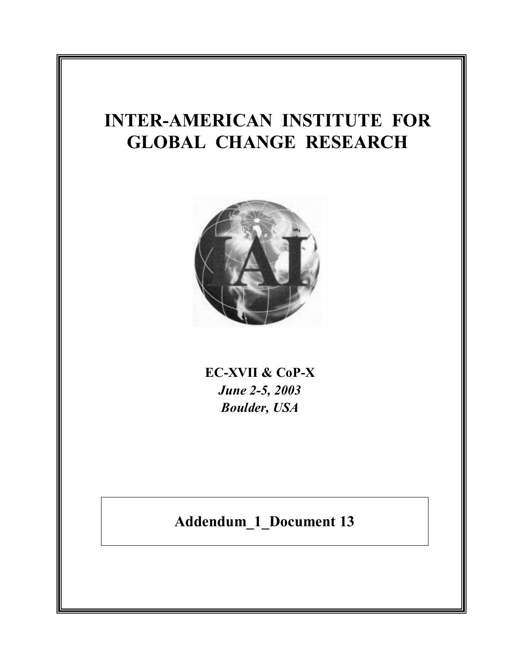## **INTER-AMERICAN INSTITUTE FOR GLOBAL CHANGE RESEARCH**



**EC-XVII & CoP-X** *June 2-5, 2003 Boulder, USA*

**Addendum\_1\_Document 13**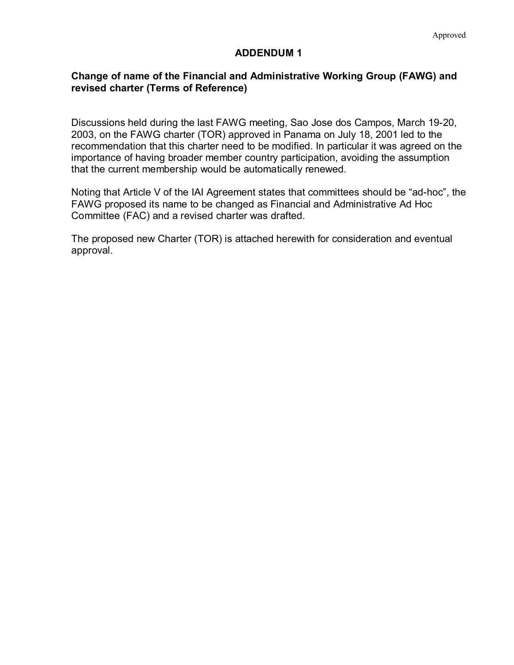## **ADDENDUM 1**

## **Change of name of the Financial and Administrative Working Group (FAWG) and revised charter (Terms of Reference)**

Discussions held during the last FAWG meeting, Sao Jose dos Campos, March 19-20, 2003, on the FAWG charter (TOR) approved in Panama on July 18, 2001 led to the recommendation that this charter need to be modified. In particular it was agreed on the importance of having broader member country participation, avoiding the assumption that the current membership would be automatically renewed.

Noting that Article V of the IAI Agreement states that committees should be "ad-hoc", the FAWG proposed its name to be changed as Financial and Administrative Ad Hoc Committee (FAC) and a revised charter was drafted.

The proposed new Charter (TOR) is attached herewith for consideration and eventual approval.